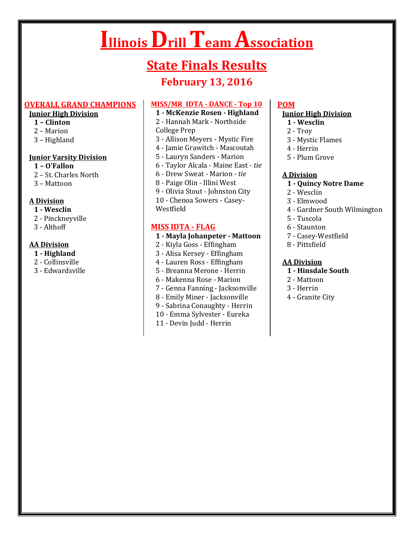# **Illinois Drill Team Association**

# **State Finals Results**

## **February 13, 2016**

#### **OVERALL GRAND CHAMPIONS**

## **Junior High Division**

- **1 – Clinton**
- 2 Marion
- 3 Highland

#### **Junior Varsity Division**

- **1 – O'Fallon**
- 2 St. Charles North
- 3 Mattoon

#### **A Division**

- **1 - Wesclin**
- 2 Pinckneyville
- 3 Althoff

#### **AA Division**

- **1 - Highland**
- 2 Collinsville
- 3 Edwardsville

## **MISS/MR IDTA - DANCE - Top 10**

#### **1 - McKenzie Rosen - Highland**

- 2 Hannah Mark Northside
- College Prep
- 3 Allison Meyers Mystic Fire
- 4 Jamie Grawitch Mascoutah
- 5 Lauryn Sanders Marion
- 6 Taylor Alcala Maine East *tie*
- 6 Drew Sweat Marion *tie*
- 8 Paige Olin Illini West
- 9 Olivia Stout Johnston City
- 10 Chenoa Sowers Casey-
- Westfield

## **MISS IDTA - FLAG**

#### **1 - Mayla Johanpeter - Mattoon**

- 2 Kiyla Goss Effingham
- 3 Alisa Kersey Effingham
- 4 Lauren Ross Effingham
- 5 Breanna Merone Herrin
- 6 Makenna Rose Marion
- 7 Genna Fanning Jacksonville
- 8 Emily Miner Jacksonville
- 9 Sabrina Conaughty Herrin
- 10 Emma Sylvester Eureka
- 11 Devin Judd Herrin

#### **POM**

#### **Junior High Division**

- **1 - Wesclin**
- 2 Troy
- 3 Mystic Flames
- 4 Herrin
- 5 Plum Grove

#### **A Division**

- **1 - Quincy Notre Dame**
- 2 Wesclin
- 3 Elmwood
- 4 Gardner South Wilmington
- 5 Tuscola
- 6 Staunton
- 7 Casey-Westfield
- 8 Pittsfield

#### **AA Division**

- **1 - Hinsdale South**
- 2 Mattoon
- 3 Herrin
- 4 Granite City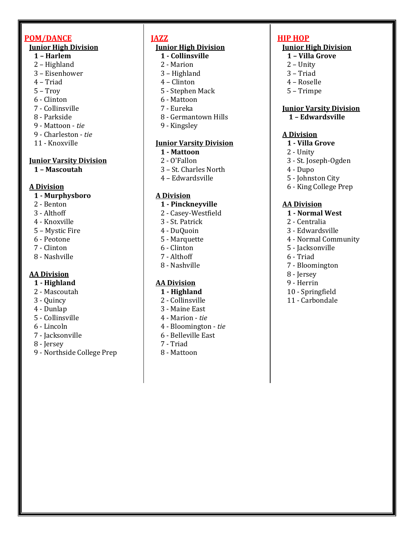## **POM/DANCE**

#### **Junior High Division**

- **1 – Harlem**
- 2 Highland
- 3 Eisenhower
- 4 Triad
- 5 Troy
- 6 Clinton
- 7 Collinsville
- 8 Parkside
- 9 Mattoon *tie*
- 9 Charleston *tie*
- 11 Knoxville

#### **Junior Varsity Division**

 **1 – Mascoutah**

## **A Division**

#### **1 - Murphysboro**

- 2 Benton
- 3 Althoff
- 4 Knoxville
- 5 Mystic Fire
- 6 Peotone
- 7 Clinton
- 8 Nashville

## **AA Division**

- **1 - Highland**
- 2 Mascoutah
- 3 Quincy
- 4 Dunlap
- 5 Collinsville
- 6 Lincoln
- 7 Jacksonville
- 8 Jersey
- 9 Northside College Prep

# **JAZZ**

## **Junior High Division**

- **1 - Collinsville**
- 2 Marion
- 3 Highland
- 4 Clinton
- 5 Stephen Mack
- 6 Mattoon
- 7 Eureka
- 8 Germantown Hills
- 9 Kingsley

## **Junior Varsity Division**

#### **1 - Mattoon**

- 2 O'Fallon
- 3 St. Charles North
- 4 Edwardsville

## **A Division**

#### **1 - Pinckneyville**

- 2 Casey-Westfield
- 3 St. Patrick
- 4 DuQuoin
- 5 Marquette
- 6 Clinton
- 7 Althoff
- 8 Nashville

## **AA Division**

- **1 - Highland**
- 2 Collinsville
- 3 Maine East
- 4 Marion *tie*
- 4 Bloomington *tie*
- 6 Belleville East
- 7 Triad
- 8 Mattoon

## **HIP HOP**

## **Junior High Division**

- **1 – Villa Grove**
- 2 Unity
- 3 Triad
- 4 Roselle
- 5 Trimpe

## **Junior Varsity Division**

 **1 – Edwardsville**

## **A Division**

- **1 - Villa Grove**
- 2 Unity
- 3 St. Joseph-Ogden
- 4 Dupo
- 5 Johnston City
- 6 King College Prep

## **AA Division**

- **1 - Normal West**
- 2 Centralia
- 3 Edwardsville
- 4 Normal Community
- 5 Jacksonville
- 6 Triad
- 7 Bloomington
- 8 Jersey
- 9 Herrin
- 10 Springfield
- 11 Carbondale